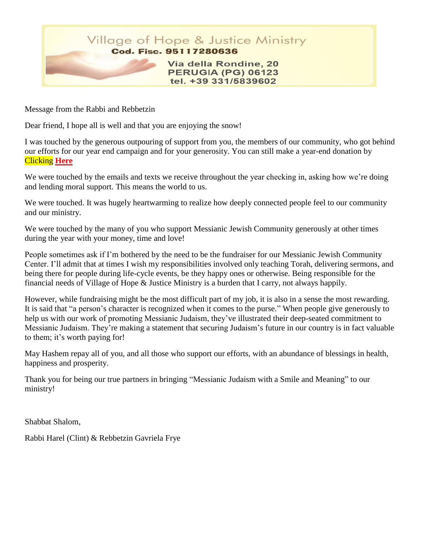

Message from the Rabbi and Rebbetzin

Dear friend, I hope all is well and that you are enjoying the snow!

I was touched by the generous outpouring of support from you, the members of our community, who got behind our efforts for our year end campaign and for your generosity. You can still make a year-end donation by Clicking **[Here](https://villageofhopejusticeministry.org/donation-donazione/)**

We were touched by the emails and texts we receive throughout the year checking in, asking how we're doing and lending moral support. This means the world to us.

We were touched. It was hugely heartwarming to realize how deeply connected people feel to our community and our ministry.

We were touched by the many of you who support Messianic Jewish Community generously at other times during the year with your money, time and love!

People sometimes ask if I'm bothered by the need to be the fundraiser for our Messianic Jewish Community Center. I'll admit that at times I wish my responsibilities involved only teaching Torah, delivering sermons, and being there for people during life-cycle events, be they happy ones or otherwise. Being responsible for the financial needs of Village of Hope & Justice Ministry is a burden that I carry, not always happily.

However, while fundraising might be the most difficult part of my job, it is also in a sense the most rewarding. It is said that "a person's character is recognized when it comes to the purse." When people give generously to help us with our work of promoting Messianic Judaism, they've illustrated their deep-seated commitment to Messianic Judaism. They're making a statement that securing Judaism's future in our country is in fact valuable to them; it's worth paying for!

May Hashem repay all of you, and all those who support our efforts, with an abundance of blessings in health, happiness and prosperity.

Thank you for being our true partners in bringing "Messianic Judaism with a Smile and Meaning" to our ministry!

Shabbat Shalom,

Rabbi Harel (Clint) & Rebbetzin Gavriela Frye